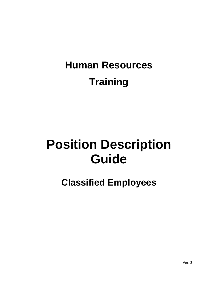## **Human Resources Training**

# **Position Description Guide**

**Classified Employees**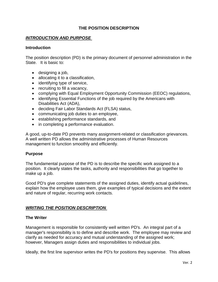#### **THE POSITION DESCRIPTION**

#### *INTRODUCTION AND PURPOSE*

#### **Introduction**

The position description (PD) is the primary document of personnel administration in the State. It is basic to:

- designing a job,
- allocating it to a classification,
- identifying type of service,
- recruiting to fill a vacancy,
- complying with Equal Employment Opportunity Commission (EEOC) regulations,
- identifying Essential Functions of the job required by the Americans with Disabilities Act (ADA),
- deciding Fair Labor Standards Act (FLSA) status,
- communicating job duties to an employee,
- establishing performance standards, and
- in completing a performance evaluation.

A good, up-to-date PD prevents many assignment-related or classification grievances. A well written PD allows the administrative processes of Human Resources management to function smoothly and efficiently.

#### **Purpose**

The fundamental purpose of the PD is to describe the specific work assigned to a position. It clearly states the tasks, authority and responsibilities that go together to make up a job.

Good PD's give complete statements of the assigned duties, identify actual guidelines, explain how the employee uses them, give examples of typical decisions and the extent and nature of regular, recurring work contacts.

#### *WRITING THE POSITION DESCRIPTION*

#### **The Writer**

Management is responsible for consistently well written PD's. An integral part of a manager's responsibility is to define and describe work. The employee may review and clarify as needed for accuracy and mutual understanding of the assigned work; however, Managers assign duties and responsibilities to individual jobs.

Ideally, the first line supervisor writes the PD's for positions they supervise. This allows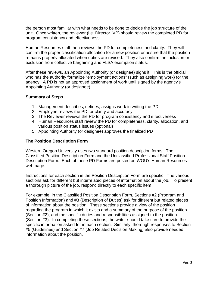the person most familiar with what needs to be done to decide the job structure of the unit. Once written, the reviewer (i.e. Director, VP) should review the completed PD for program consistency and effectiveness.

Human Resources staff then reviews the PD for completeness and clarity. They will confirm the proper classification allocation for a new position or assure that the position remains properly allocated when duties are revised. They also confirm the inclusion or exclusion from collective bargaining and FLSA exemption status.

After these reviews, an Appointing Authority (or designee) signs it. This is the official who has the authority formalize "employment actions" (such as assigning work) for the agency. A PD is not an approved assignment of work until signed by the agency's Appointing Authority (or designee).

#### **Summary of Steps**

- 1. Management describes, defines, assigns work in writing the PD
- 2. Employee reviews the PD for clarity and accuracy
- 3. The Reviewer reviews the PD for program consistency and effectiveness
- 4. Human Resources staff review the PD for completeness, clarity, allocation, and various position status issues (optional)
- 5. Appointing Authority (or designee) approves the finalized PD

#### **The Position Description Form**

Western Oregon University uses two standard position description forms. The Classified Position Description Form and the Unclassified Professional Staff Position Description Form. Each of these PD Forms are posted on WOU's Human Resources web page.

Instructions for each section in the Position Description Form are specific. The various sections ask for different but interrelated pieces of information about the job. To present a thorough picture of the job, respond directly to each specific item.

For example, in the Classified Position Description Form, Sections #2 (Program and Position Information) and #3 (Description of Duties) ask for different but related pieces of information about the position. These sections provide a view of the position regarding the program in which it exists and a summary of the purpose of the position (Section #2), and the specific duties and responsibilities assigned to the position (Section #3). In completing these sections, the writer should take care to provide the specific information asked for in each section. Similarly, thorough responses to Section #5 (Guidelines) and Section #7 (Job Related Decision Making) also provide needed information about the position.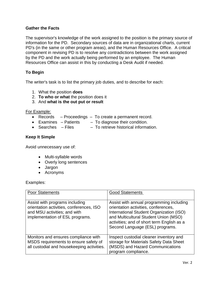#### **Gather the Facts**

The supervisor's knowledge of the work assigned to the position is the primary source of information for the PD. Secondary sources of data are in organizational charts, current PD's (in the same or other program areas), and the Human Resources Office. A critical component in revising PD is to resolve any contradictions between the work assigned by the PD and the work actually being performed by an employee. The Human Resources Office can assist in this by conducting a Desk Audit if needed.

#### **To Begin**

The writer's task is to list the primary job duties, and to describe for each:

- 1. What the position **does**
- 2. **To who or what** the position does it
- 3. And **what is the out put or result**

#### For Example:

- Records Proceedings To create a permanent record.
- Examines Patients To diagnose their condition.
- Searches Files To retrieve historical information.

#### **Keep It Simple**

Avoid unnecessary use of:

- Multi-syllable words
- Overly long sentences
- Jargon
- Acronyms

#### Examples:

| <b>Poor Statements</b>                                                                                                                        | <b>Good Statements</b>                                                                                                                                                                                                                                 |
|-----------------------------------------------------------------------------------------------------------------------------------------------|--------------------------------------------------------------------------------------------------------------------------------------------------------------------------------------------------------------------------------------------------------|
| Assist with programs including<br>orientation activities, conferences, ISO<br>and MSU activities; and with<br>implementation of ESL programs. | Assist with annual programming including<br>orientation activities, conferences,<br>International Student Organization (ISO)<br>and Multicultural Student Union (MSO)<br>activities; and of short term English as a<br>Second Language (ESL) programs. |
| Monitors and ensures compliance with<br>MSDS requirements to ensure safety of<br>all custodial and housekeeping activities.                   | Inspect custodial cleaner inventory and<br>storage for Materials Safety Data Sheet<br>(MSDS) and Hazard Communications<br>program compliance.                                                                                                          |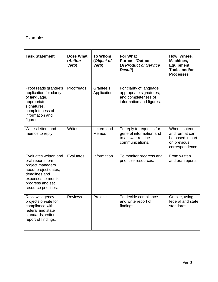| <b>Task Statement</b>                                                                                                                                                      | <b>Does What</b><br>(Action<br>Verb) | <b>To Whom</b><br>(Object of<br>Verb) | <b>For What</b><br><b>Purpose/Output</b><br>(A Product or Service<br><b>Result</b> )                   | How, Where,<br>Machines,<br>Equipment,<br>Tools, and/or<br><b>Processes</b>          |
|----------------------------------------------------------------------------------------------------------------------------------------------------------------------------|--------------------------------------|---------------------------------------|--------------------------------------------------------------------------------------------------------|--------------------------------------------------------------------------------------|
| Proof reads grantee's<br>application for clarity<br>of language,<br>appropriate<br>signatures,<br>completeness of<br>information and<br>figures.                           | Proofreads                           | Grantee's<br>Application              | For clarity of language,<br>appropriate signatures,<br>and completeness of<br>information and figures. |                                                                                      |
| Writes letters and<br>memos to reply                                                                                                                                       | Writes                               | Letters and<br><b>Memos</b>           | To reply to requests for<br>general information and<br>to answer routine<br>communications.            | When content<br>and format can<br>be based in part<br>on previous<br>correspondence. |
| Evaluates written and<br>oral reports form<br>project managers<br>about project dates,<br>deadlines and<br>expenses to monitor<br>progress and set<br>resource priorities. | Evaluates                            | Information                           | To monitor progress and<br>prioritize resources.                                                       | From written<br>and oral reports.                                                    |
| Reviews agency<br>projects on-site for<br>compliance with<br>federal and state<br>standards; writes<br>report of findings.                                                 | <b>Reviews</b>                       | Projects                              | To decide compliance<br>and write report of<br>findings.                                               | On-site, using<br>federal and state<br>standards.                                    |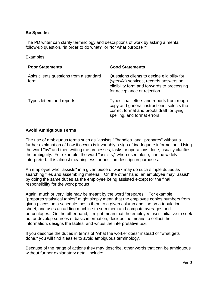#### **Be Specific**

The PD writer can clarify terminology and descriptions of work by asking a mental follow-up question, "in order to do what?" or "for what purpose?"

Examples:

| <b>Poor Statements</b>                          | <b>Good Statements</b>                                                                                                                                                 |
|-------------------------------------------------|------------------------------------------------------------------------------------------------------------------------------------------------------------------------|
| Asks clients questions from a standard<br>form. | Questions clients to decide eligibility for<br>(specific) services, records answers on<br>eligibility form and forwards to processing<br>for acceptance or rejection.  |
| Types letters and reports.                      | Types final letters and reports from rough<br>copy and general instructions; selects the<br>correct format and proofs draft for tying,<br>spelling, and format errors. |

#### **Avoid Ambiguous Terms**

The use of ambiguous terms such as "assists," "handles" and "prepares" without a further explanation of how it occurs is invariably a sign of inadequate information. Using the word "by" and then writing the processes, tasks or operations done, usually clarifies the ambiguity. For example, the word "assists," when used alone, can be widely interpreted. It is almost meaningless for position description purposes.

An employee who "assists" in a given piece of work may do such simple duties as searching files and assembling material. On the other hand, an employee may "assist" by doing the same duties as the employee being assisted except for the final responsibility for the work product.

Again, much or very little may be meant by the word "prepares." For example, "prepares statistical tables" might simply mean that the employee copies numbers from given places on a schedule, posts them to a given column and line on a tabulation sheet, and uses an adding machine to sum them and compute averages and percentages. On the other hand, it might mean that the employee uses initiative to seek out or develop sources of basic information, decides the means to collect the information, designs the tables, and writes the interpretative text.

If you describe the duties in terms of "what the worker does" instead of "what gets done," you will find it easier to avoid ambiguous terminology.

Because of the range of actions they may describe, other words that can be ambiguous without further explanatory detail include: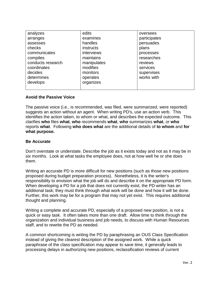| analyzes          | edits       | oversees     |
|-------------------|-------------|--------------|
| arranges          | examines    | participates |
| assesses          | handles     | persuades    |
| checks            | instructs   | plans        |
| communicates      | interviews  | processes    |
| compiles          | maintains   | researches   |
| conducts research | manipulates | reviews      |
| coordinates       | modifies    | services     |
| decides           | monitors    | supervises   |
| determines        | operates    | works with   |
| develops          | organizes   |              |
|                   |             |              |

#### **Avoid the Passive Voice**

The passive voice (i.e., is recommended, was filed, were summarized, were reported) suggests an action without an agent. When writing PD's, use an action verb. This identifies the action taken, to whom or what, and describes the expected outcome. This clarifies **who** files **what**, **who** recommends **what**, **who** summarizes **what**, or **who** reports **what**. Following **who does what** are the additional details of **to whom** and **for what purpose.** 

#### **Be Accurate**

Don't overstate or understate. Describe the job as it exists today and not as it may be in six months. Look at what tasks the employee does, not at how well he or she does them.

Writing an accurate PD is more difficult for new positions (such as those new positions proposed during budget preparation process). Nonetheless, it is the writer's responsibility to envision what the job will do and describe it on the appropriate PD form. When developing a PD for a job that does not currently exist, the PD writer has an additional task; they must think through what work will be done and how it will be done. Further, this work may be for a program that may not yet exist. This requires additional thought and planning.

Writing a complete and accurate PD, especially of a proposed new position, is not a quick or easy task. It often takes more than one draft. Allow time to think through the organization and individual business and job needs, to discuss with Human Resources staff, and to rewrite the PD as needed.

A common shortcoming is writing the PD by paraphrasing an OUS Class Specification instead of giving the clearest description of the assigned work. While a quick paraphrase of the class specification may appear to save time, it generally leads to processing delays in authorizing new positions, reclassification reviews of current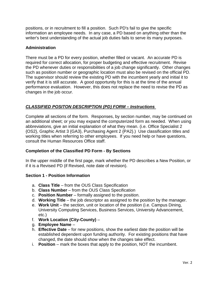positions, or in recruitment to fill a position. Such PD's fail to give the specific information an employee needs. In any case, a PD based on anything other than the writer's best understanding of the actual job duties fails to serve its many purposes.

#### **Administration**

There must be a PD for every position, whether filled or vacant. An accurate PD is required for correct allocation, for proper budgeting and effective recruitment. Revise the PD whenever duties or responsibilities of a job change significantly. Other changes such as position number or geographic location must also be revised on the official PD. The supervisor should review the existing PD with the incumbent yearly and initial it to verify that it is still accurate. A good opportunity for this is at the time of the annual performance evaluation. However, this does not replace the need to revise the PD as changes in the job occur.

#### *CLASSIFIED POSITON DESCRIPTION (PD) FORM – Instructions*

Complete all sections of the form. Responses, by section number, may be continued on an additional sheet; or you may expand the computerized form as needed. When using abbreviations, give an initial explanation of what they mean. (i.e. Office Specialist 2 {OS2}, Graphic Artist 3 {GA3}, Purchasing Agent 2 {PA2}.) Use classification titles and working titles when referring to other employees. If you need help or have questions, consult the Human Resources Office staff.

#### **Completion of the Classified PD Form - By Sections**

In the upper middle of the first page, mark whether the PD describes a New Position, or if it is a Revised PD (if Revised, note date of revision).

#### **Section 1 - Position Information**

- a. **Class Title** from the OUS Class Specification
- b. **Class Number** from the OUS Class Specification
- c. **Position Number** formally assigned to the position.
- d. **Working Title** the job descriptor as assigned to the position by the manager.
- e. **Work Unit** the section, unit or location of the position (i.e. Campus Dining, University Computing Services, Business Services, University Advancement, etc.)
- f. **Work Location (City-County)** –
- g. **Employee Name** –
- h. **Effective Date** for new positions, show the earliest date the position will be established dependent upon funding authority. For existing positions that have changed, the date should show when the changes take effect.
- i. **Position** mark the boxes that apply to the position, NOT the incumbent.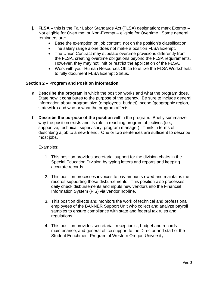- j. **FLSA** this is the Fair Labor Standards Act (FLSA) designation; mark Exempt Not eligible for Overtime; or Non-Exempt – eligible for Overtime. Some general reminders are:
	- Base the exemption on job content, not on the position's classification.
	- The salary range alone does not make a position FLSA Exempt.
	- The Union Contract may stipulate overtime provisions differently from the FLSA, creating overtime obligations beyond the FLSA requirements. However, they may not limit or restrict the application of the FLSA.
	- Work with your Human Resources Office to utilize the FLSA Worksheets to fully document FLSA Exempt Status.

#### **Section 2 – Program and Position information**

- a. **Describe the program** in which the position works and what the program does. State how it contributes to the purpose of the agency. Be sure to include general information about program size (employees, budget), scope (geographic region, statewide) and who or what the program affects.
- b. **Describe the purpose of the position** within the program. Briefly summarize why the position exists and its role in reaching program objectives (i.e., supportive, technical, supervisory, program manager). Think in terms of describing a job to a new friend. One or two sentences are sufficient to describe most jobs.

#### Examples:

- 1. This position provides secretarial support for the division chairs in the Special Education Division by typing letters and reports and keeping accurate records.
- 2. This position processes invoices to pay amounts owed and maintains the records supporting those disbursements. This position also processes daily check disbursements and inputs new vendors into the Financial Information System (FIS) via vendor hot-line.
- 3. This position directs and monitors the work of technical and professional employees of the BANNER Support Unit who collect and analyze payroll samples to ensure compliance with state and federal tax rules and regulations.
- 4. This position provides secretarial, receptionist, budget and records maintenance, and general office support to the Director and staff of the Student Enrichment Program of Western Oregon University.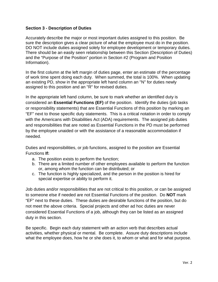#### **Section 3 - Description of Duties**

Accurately describe the major or most important duties assigned to this position. Be sure the description gives a clear picture of what the employee must do in the position. DO NOT include duties assigned solely for employee development or temporary duties. There should be an easily seen relationship between this Section (Description of Duties) and the "Purpose of the Position" portion in Section #2 (Program and Position Information).

In the first column at the left margin of duties page, enter an estimate of the percentage of work time spent doing each duty. When summed, the total is 100%. When updating an existing PD, show in the appropriate left hand column an "N" for duties newly assigned to this position and an "R" for revised duties.

In the appropriate left hand column, be sure to mark whether an identified duty is considered an **Essential Functions (EF)** of the position. Identify the duties (job tasks or responsibility statements) that are Essential Functions of this position by marking an "EF" next to those specific duty statements. This is a critical notation in order to comply with the Americans with Disabilities Act (ADA) requirements. The assigned job duties and responsibilities that are noted as Essential Functions in the PD must be performed by the employee unaided or with the assistance of a reasonable accommodation if needed.

Duties and responsibilities, or job functions, assigned to the position are Essential Functions **If:**

- a. The position exists to perform the function;
- b. There are a limited number of other employees available to perform the function or, among whom the function can be distributed; or
- c. The function is highly specialized, and the person in the position is hired for special expertise or ability to perform it.

Job duties and/or responsibilities that are not critical to this position, or can be assigned to someone else if needed are not Essential Functions of the position. Do **NOT** mark "EF" next to these duties. These duties are desirable functions of the position, but do not meet the above criteria. Special projects and other ad hoc duties are never considered Essential Functions of a job, although they can be listed as an assigned duty in this section.

Be specific. Begin each duty statement with an action verb that describes actual activities, whether physical or mental. Be complete. Assure duty descriptions include what the employee does, how he or she does it, to whom or what and for what purpose.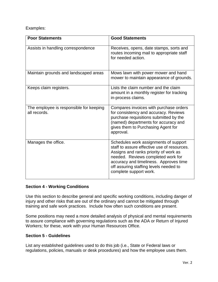| <b>Poor Statements</b>                                  | <b>Good Statements</b>                                                                                                                                                                                                                                                            |
|---------------------------------------------------------|-----------------------------------------------------------------------------------------------------------------------------------------------------------------------------------------------------------------------------------------------------------------------------------|
| Assists in handling correspondence                      | Receives, opens, date stamps, sorts and<br>routes incoming mail to appropriate staff<br>for needed action.                                                                                                                                                                        |
| Maintain grounds and landscaped areas                   | Mows lawn with power mower and hand<br>mower to maintain appearance of grounds.                                                                                                                                                                                                   |
| Keeps claim registers.                                  | Lists the claim number and the claim<br>amount in a monthly register for tracking<br>in-process claims.                                                                                                                                                                           |
| The employee is responsible for keeping<br>all records. | Compares invoices with purchase orders<br>for consistency and accuracy. Reviews<br>purchase requisitions submitted by the<br>(named) departments for accuracy and<br>gives them to Purchasing Agent for<br>approval.                                                              |
| Manages the office.                                     | Schedules work assignments of support<br>staff to assure effective use of resources.<br>Assigns and ranks priority of work as<br>needed. Reviews completed work for<br>accuracy and timeliness. Approves time<br>off assuring staffing levels needed to<br>complete support work. |

## **Section 4 - Working Conditions**

Use this section to describe general and specific working conditions, including danger of injury and other risks that are out of the ordinary and cannot be mitigated through training and safe work practices. Include how often such conditions are present.

Some positions may need a more detailed analysis of physical and mental requirements to assure compliance with governing regulations such as the ADA or Return of Injured Workers; for these, work with your Human Resources Office.

#### **Section 5 - Guidelines**

List any established guidelines used to do this job (i.e., State or Federal laws or regulations, policies, manuals or desk procedures) and how the employee uses them.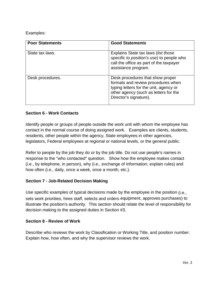| <b>Poor Statements</b> | <b>Good Statements</b>                                                                                                                                                              |
|------------------------|-------------------------------------------------------------------------------------------------------------------------------------------------------------------------------------|
| State tax laws.        | Explains State tax laws (list those<br>specific to position's use) to people who<br>call the office as part of the taxpayer<br>assistance program.                                  |
| Desk procedures.       | Desk procedures that show proper<br>formats and review procedures when<br>typing letters for the unit, agency or<br>other agency (such as letters for the<br>Director's signature). |

## **Section 6 - Work Contacts**

Identify people or groups of people outside the work unit with whom the employee has contact in the normal course of doing assigned work. Examples are clients, students, residents, other people within the agency, State employees in other agencies, legislators, Federal employees at regional or national levels, or the general public.

Refer to people by the job they do or by the job title. Do not use people's names in response to the "who contacted" question. Show how the employee makes contact (i.e., by telephone, in person), why (i.e., exchange of information, explain rules) and how often (i.e., daily, once a week, once a month, etc.).

## **Section 7 - Job-Related Decision Making**

Use specific examples of typical decisions made by the employee in the position (i.e., sets work priorities, hires staff, selects and orders equipment, approves purchases) to illustrate the position's authority. This section should relate the level of responsibility for decision making to the assigned duties in Section #3.

#### **Section 8 - Review of Work**

Describe who reviews the work by Classification or Working Title, and position number. Explain how, how often, and why the supervisor reviews the work.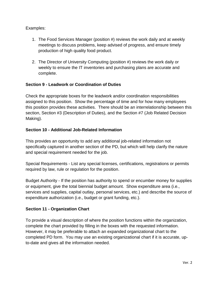- 1. The Food Services Manager (position #) reviews the work daily and at weekly meetings to discuss problems, keep advised of progress, and ensure timely production of high quality food product.
- 2. The Director of University Computing (position #) reviews the work daily or weekly to ensure the IT inventories and purchasing plans are accurate and complete.

## **Section 9 - Leadwork or Coordination of Duties**

Check the appropriate boxes for the leadwork and/or coordination responsibilities assigned to this position. Show the percentage of time and for how many employees this position provides these activities. There should be an interrelationship between this section, Section #3 (Description of Duties), and the Section #7 (Job Related Decision Making).

#### **Section 10 - Additional Job-Related Information**

This provides an opportunity to add any additional job-related information not specifically captured in another section of the PD, but which will help clarify the nature and special requirement needed for the job.

Special Requirements - List any special licenses, certifications, registrations or permits required by law, rule or regulation for the position.

Budget Authority - If the position has authority to spend or encumber money for supplies or equipment, give the total biennial budget amount. Show expenditure area (i.e., services and supplies, capital outlay, personal services, etc.) and describe the source of expenditure authorization (i.e., budget or grant funding, etc.).

#### **Section 11 - Organization Chart**

To provide a visual description of where the position functions within the organization, complete the chart provided by filling in the boxes with the requested information. However, it may be preferable to attach an expanded organizational chart to the completed PD form. You may use an existing organizational chart if it is accurate, upto-date and gives all the information needed.